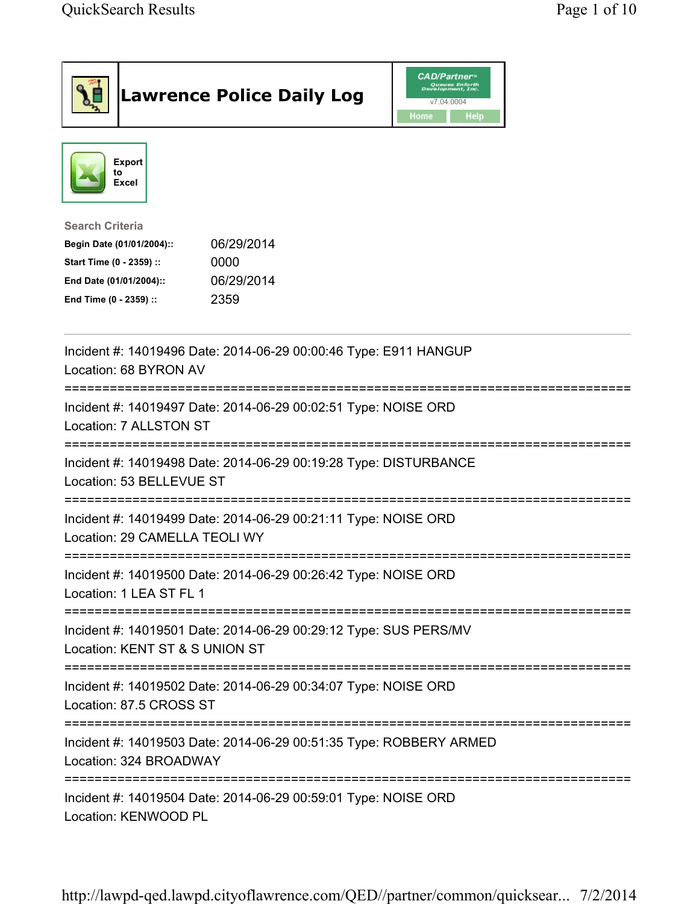| <b>Lawrence Police Daily Log</b>                                                                                                                                                 | <b>CAD/Partner</b> "<br>Queues Enforth<br>Development, Inc.<br>v7.04.0004<br>Home<br><b>Help</b> |
|----------------------------------------------------------------------------------------------------------------------------------------------------------------------------------|--------------------------------------------------------------------------------------------------|
| <b>Export</b><br>to<br><b>Excel</b>                                                                                                                                              |                                                                                                  |
| <b>Search Criteria</b><br>06/29/2014<br>Begin Date (01/01/2004)::<br>Start Time (0 - 2359) ::<br>0000<br>06/29/2014<br>End Date (01/01/2004)::<br>2359<br>End Time (0 - 2359) :: |                                                                                                  |
| Incident #: 14019496 Date: 2014-06-29 00:00:46 Type: E911 HANGUP<br>Location: 68 BYRON AV                                                                                        |                                                                                                  |
| Incident #: 14019497 Date: 2014-06-29 00:02:51 Type: NOISE ORD<br>Location: 7 ALLSTON ST                                                                                         |                                                                                                  |
| Incident #: 14019498 Date: 2014-06-29 00:19:28 Type: DISTURBANCE<br>Location: 53 BELLEVUE ST                                                                                     |                                                                                                  |
| Incident #: 14019499 Date: 2014-06-29 00:21:11 Type: NOISE ORD<br>Location: 29 CAMELLA TEOLI WY                                                                                  |                                                                                                  |
| Incident #: 14019500 Date: 2014-06-29 00:26:42 Type: NOISE ORD<br>Location: 1 LEA ST FL 1                                                                                        |                                                                                                  |
| Incident #: 14019501 Date: 2014-06-29 00:29:12 Type: SUS PERS/MV<br>Location: KENT ST & S UNION ST                                                                               |                                                                                                  |
| ;========================<br>Incident #: 14019502 Date: 2014-06-29 00:34:07 Type: NOISE ORD<br>Location: 87.5 CROSS ST                                                           |                                                                                                  |
| Incident #: 14019503 Date: 2014-06-29 00:51:35 Type: ROBBERY ARMED<br>Location: 324 BROADWAY                                                                                     |                                                                                                  |
| Incident #: 14019504 Date: 2014-06-29 00:59:01 Type: NOISE ORD<br>Location: KENWOOD PL                                                                                           |                                                                                                  |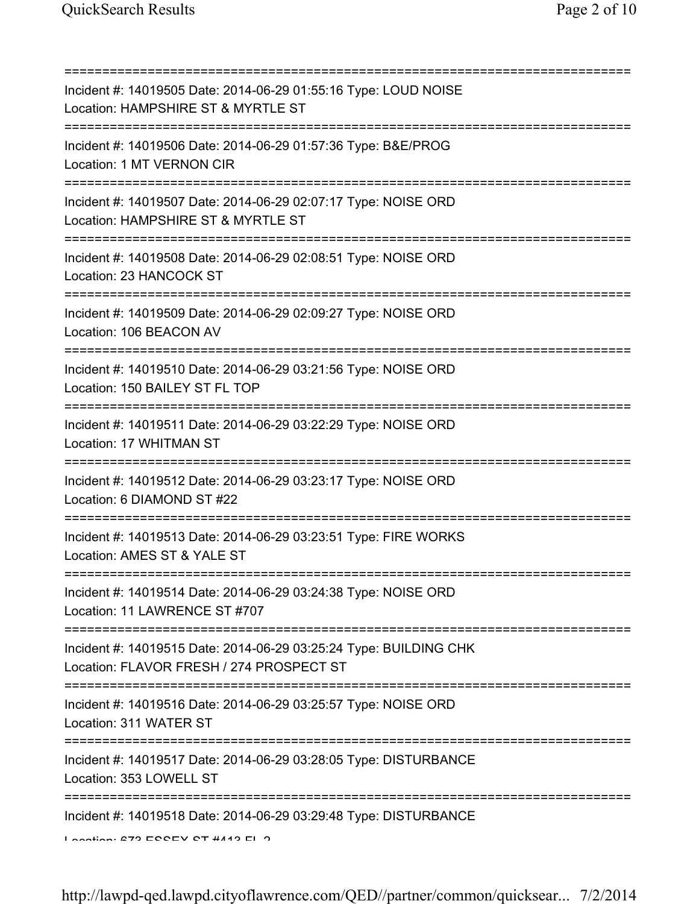=========================================================================== Incident #: 14019505 Date: 2014-06-29 01:55:16 Type: LOUD NOISE Location: HAMPSHIRE ST & MYRTLE ST =========================================================================== Incident #: 14019506 Date: 2014-06-29 01:57:36 Type: B&E/PROG Location: 1 MT VERNON CIR =========================================================================== Incident #: 14019507 Date: 2014-06-29 02:07:17 Type: NOISE ORD Location: HAMPSHIRE ST & MYRTLE ST =========================================================================== Incident #: 14019508 Date: 2014-06-29 02:08:51 Type: NOISE ORD Location: 23 HANCOCK ST =========================================================================== Incident #: 14019509 Date: 2014-06-29 02:09:27 Type: NOISE ORD Location: 106 BEACON AV =========================================================================== Incident #: 14019510 Date: 2014-06-29 03:21:56 Type: NOISE ORD Location: 150 BAILEY ST FL TOP =========================================================================== Incident #: 14019511 Date: 2014-06-29 03:22:29 Type: NOISE ORD Location: 17 WHITMAN ST =========================================================================== Incident #: 14019512 Date: 2014-06-29 03:23:17 Type: NOISE ORD Location: 6 DIAMOND ST #22 =========================================================================== Incident #: 14019513 Date: 2014-06-29 03:23:51 Type: FIRE WORKS Location: AMES ST & YALE ST =========================================================================== Incident #: 14019514 Date: 2014-06-29 03:24:38 Type: NOISE ORD Location: 11 LAWRENCE ST #707 =========================================================================== Incident #: 14019515 Date: 2014-06-29 03:25:24 Type: BUILDING CHK Location: FLAVOR FRESH / 274 PROSPECT ST =========================================================================== Incident #: 14019516 Date: 2014-06-29 03:25:57 Type: NOISE ORD Location: 311 WATER ST =========================================================================== Incident #: 14019517 Date: 2014-06-29 03:28:05 Type: DISTURBANCE Location: 353 LOWELL ST =========================================================================== Incident #: 14019518 Date: 2014-06-29 03:29:48 Type: DISTURBANCE  $L$ ocation: 673 ECCEV CT #443 EL 2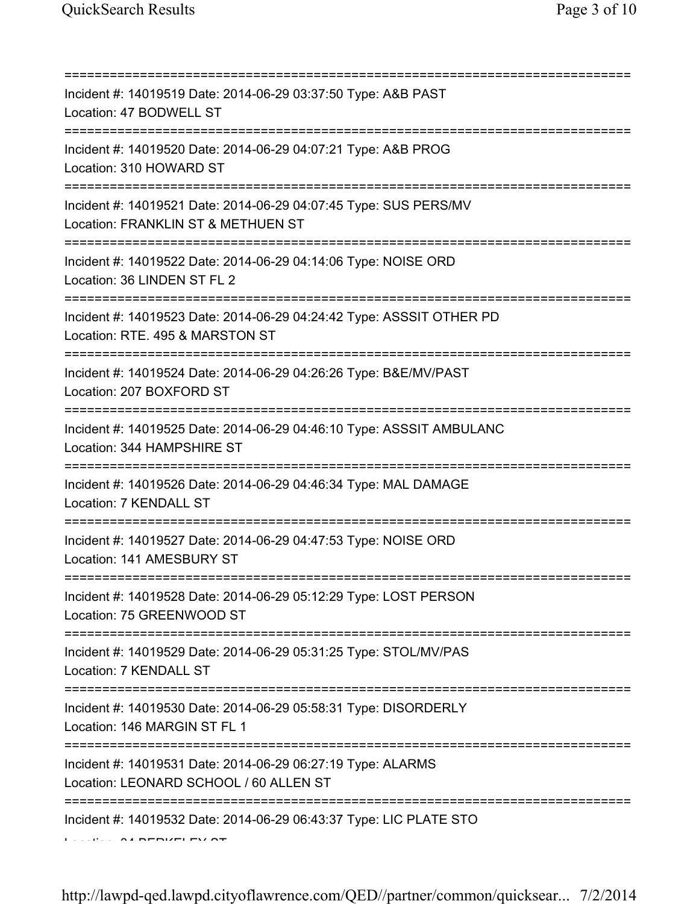| Incident #: 14019519 Date: 2014-06-29 03:37:50 Type: A&B PAST<br>Location: 47 BODWELL ST                                                                   |
|------------------------------------------------------------------------------------------------------------------------------------------------------------|
| ===========================<br>Incident #: 14019520 Date: 2014-06-29 04:07:21 Type: A&B PROG<br>Location: 310 HOWARD ST<br>=============================== |
| Incident #: 14019521 Date: 2014-06-29 04:07:45 Type: SUS PERS/MV<br>Location: FRANKLIN ST & METHUEN ST<br>:====================                            |
| Incident #: 14019522 Date: 2014-06-29 04:14:06 Type: NOISE ORD<br>Location: 36 LINDEN ST FL 2                                                              |
| Incident #: 14019523 Date: 2014-06-29 04:24:42 Type: ASSSIT OTHER PD<br>Location: RTE. 495 & MARSTON ST                                                    |
| Incident #: 14019524 Date: 2014-06-29 04:26:26 Type: B&E/MV/PAST<br>Location: 207 BOXFORD ST                                                               |
| Incident #: 14019525 Date: 2014-06-29 04:46:10 Type: ASSSIT AMBULANC<br>Location: 344 HAMPSHIRE ST                                                         |
| Incident #: 14019526 Date: 2014-06-29 04:46:34 Type: MAL DAMAGE<br>Location: 7 KENDALL ST                                                                  |
| Incident #: 14019527 Date: 2014-06-29 04:47:53 Type: NOISE ORD<br>Location: 141 AMESBURY ST                                                                |
| Incident #: 14019528 Date: 2014-06-29 05:12:29 Type: LOST PERSON<br>Location: 75 GREENWOOD ST                                                              |
| Incident #: 14019529 Date: 2014-06-29 05:31:25 Type: STOL/MV/PAS<br>Location: 7 KENDALL ST                                                                 |
| ===================================<br>Incident #: 14019530 Date: 2014-06-29 05:58:31 Type: DISORDERLY<br>Location: 146 MARGIN ST FL 1                     |
| Incident #: 14019531 Date: 2014-06-29 06:27:19 Type: ALARMS<br>Location: LEONARD SCHOOL / 60 ALLEN ST                                                      |
| Incident #: 14019532 Date: 2014-06-29 06:43:37 Type: LIC PLATE STO                                                                                         |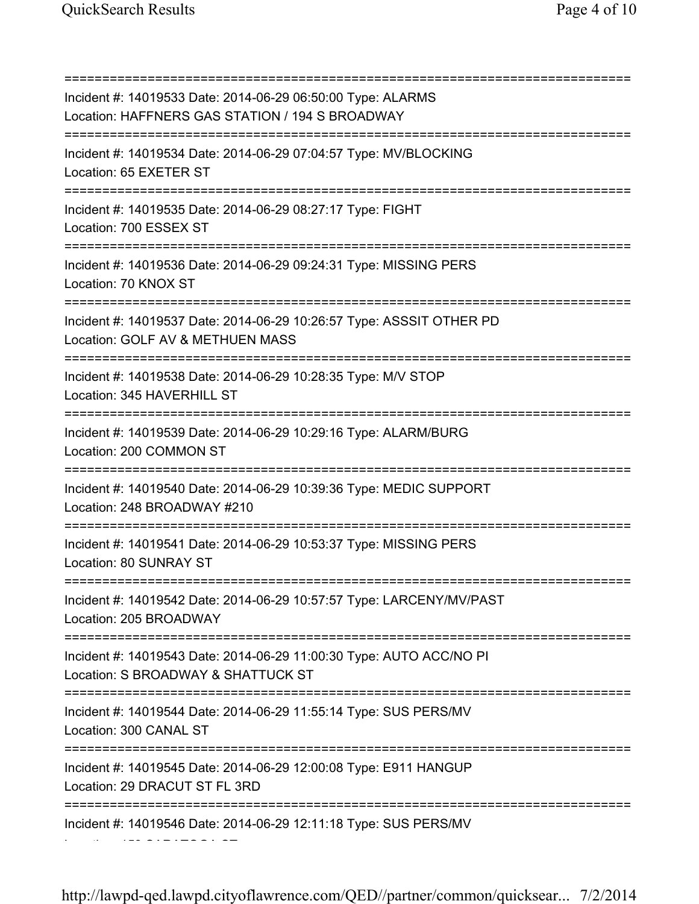Location: 159 SARATOGA ST

=========================================================================== Incident #: 14019533 Date: 2014-06-29 06:50:00 Type: ALARMS Location: HAFFNERS GAS STATION / 194 S BROADWAY =========================================================================== Incident #: 14019534 Date: 2014-06-29 07:04:57 Type: MV/BLOCKING Location: 65 EXETER ST =========================================================================== Incident #: 14019535 Date: 2014-06-29 08:27:17 Type: FIGHT Location: 700 ESSEX ST =========================================================================== Incident #: 14019536 Date: 2014-06-29 09:24:31 Type: MISSING PERS Location: 70 KNOX ST =========================================================================== Incident #: 14019537 Date: 2014-06-29 10:26:57 Type: ASSSIT OTHER PD Location: GOLF AV & METHUEN MASS =========================================================================== Incident #: 14019538 Date: 2014-06-29 10:28:35 Type: M/V STOP Location: 345 HAVERHILL ST =========================================================================== Incident #: 14019539 Date: 2014-06-29 10:29:16 Type: ALARM/BURG Location: 200 COMMON ST =========================================================================== Incident #: 14019540 Date: 2014-06-29 10:39:36 Type: MEDIC SUPPORT Location: 248 BROADWAY #210 =========================================================================== Incident #: 14019541 Date: 2014-06-29 10:53:37 Type: MISSING PERS Location: 80 SUNRAY ST =========================================================================== Incident #: 14019542 Date: 2014-06-29 10:57:57 Type: LARCENY/MV/PAST Location: 205 BROADWAY =========================================================================== Incident #: 14019543 Date: 2014-06-29 11:00:30 Type: AUTO ACC/NO PI Location: S BROADWAY & SHATTUCK ST =========================================================================== Incident #: 14019544 Date: 2014-06-29 11:55:14 Type: SUS PERS/MV Location: 300 CANAL ST =========================================================================== Incident #: 14019545 Date: 2014-06-29 12:00:08 Type: E911 HANGUP Location: 29 DRACUT ST FL 3RD =========================================================================== Incident #: 14019546 Date: 2014-06-29 12:11:18 Type: SUS PERS/MV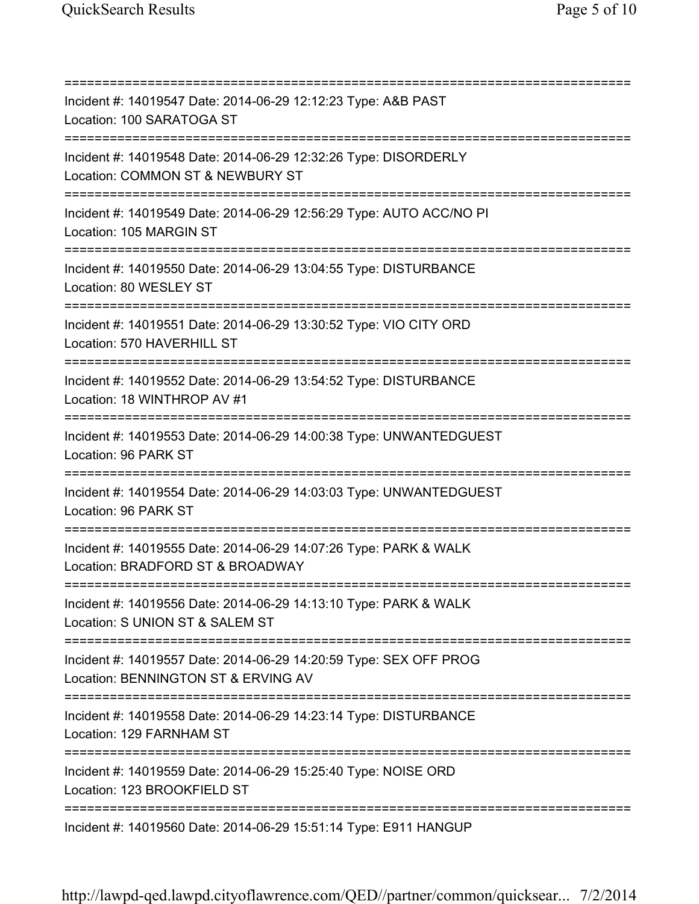=========================================================================== Incident #: 14019547 Date: 2014-06-29 12:12:23 Type: A&B PAST Location: 100 SARATOGA ST =========================================================================== Incident #: 14019548 Date: 2014-06-29 12:32:26 Type: DISORDERLY Location: COMMON ST & NEWBURY ST =========================================================================== Incident #: 14019549 Date: 2014-06-29 12:56:29 Type: AUTO ACC/NO PI Location: 105 MARGIN ST =========================================================================== Incident #: 14019550 Date: 2014-06-29 13:04:55 Type: DISTURBANCE Location: 80 WESLEY ST =========================================================================== Incident #: 14019551 Date: 2014-06-29 13:30:52 Type: VIO CITY ORD Location: 570 HAVERHILL ST =========================================================================== Incident #: 14019552 Date: 2014-06-29 13:54:52 Type: DISTURBANCE Location: 18 WINTHROP AV #1 =========================================================================== Incident #: 14019553 Date: 2014-06-29 14:00:38 Type: UNWANTEDGUEST Location: 96 PARK ST =========================================================================== Incident #: 14019554 Date: 2014-06-29 14:03:03 Type: UNWANTEDGUEST Location: 96 PARK ST =========================================================================== Incident #: 14019555 Date: 2014-06-29 14:07:26 Type: PARK & WALK Location: BRADFORD ST & BROADWAY =========================================================================== Incident #: 14019556 Date: 2014-06-29 14:13:10 Type: PARK & WALK Location: S UNION ST & SALEM ST =========================================================================== Incident #: 14019557 Date: 2014-06-29 14:20:59 Type: SEX OFF PROG Location: BENNINGTON ST & ERVING AV =========================================================================== Incident #: 14019558 Date: 2014-06-29 14:23:14 Type: DISTURBANCE Location: 129 FARNHAM ST =========================================================================== Incident #: 14019559 Date: 2014-06-29 15:25:40 Type: NOISE ORD Location: 123 BROOKFIFLD ST =========================================================================== Incident #: 14019560 Date: 2014-06-29 15:51:14 Type: E911 HANGUP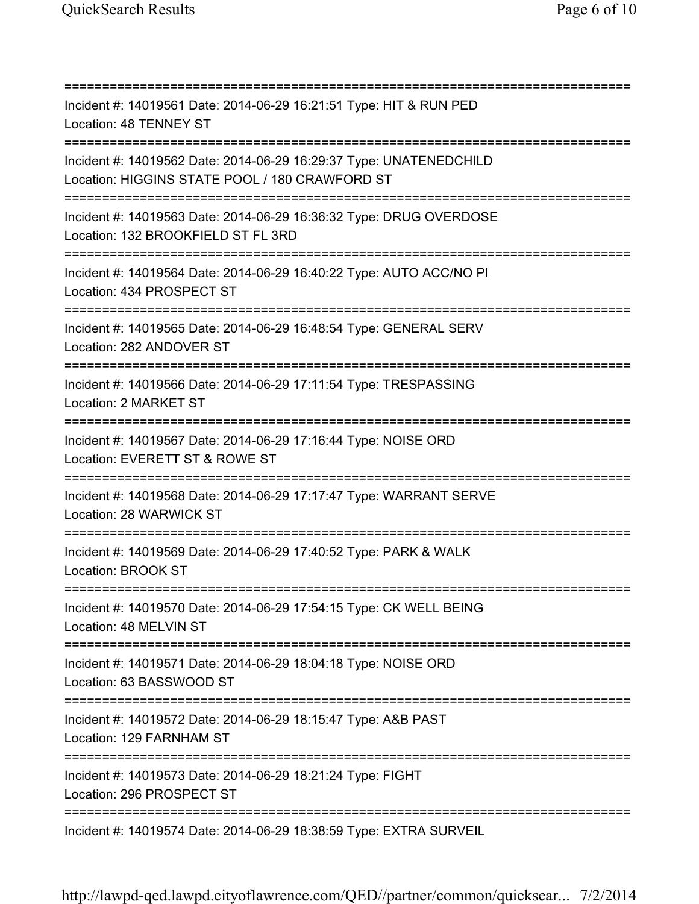=========================================================================== Incident #: 14019561 Date: 2014-06-29 16:21:51 Type: HIT & RUN PED Location: 48 TENNEY ST =========================================================================== Incident #: 14019562 Date: 2014-06-29 16:29:37 Type: UNATENEDCHILD Location: HIGGINS STATE POOL / 180 CRAWFORD ST =========================================================================== Incident #: 14019563 Date: 2014-06-29 16:36:32 Type: DRUG OVERDOSE Location: 132 BROOKFIELD ST FL 3RD =========================================================================== Incident #: 14019564 Date: 2014-06-29 16:40:22 Type: AUTO ACC/NO PI Location: 434 PROSPECT ST =========================================================================== Incident #: 14019565 Date: 2014-06-29 16:48:54 Type: GENERAL SERV Location: 282 ANDOVER ST =========================================================================== Incident #: 14019566 Date: 2014-06-29 17:11:54 Type: TRESPASSING Location: 2 MARKET ST =========================================================================== Incident #: 14019567 Date: 2014-06-29 17:16:44 Type: NOISE ORD Location: EVERETT ST & ROWE ST =========================================================================== Incident #: 14019568 Date: 2014-06-29 17:17:47 Type: WARRANT SERVE Location: 28 WARWICK ST =========================================================================== Incident #: 14019569 Date: 2014-06-29 17:40:52 Type: PARK & WALK Location: BROOK ST =========================================================================== Incident #: 14019570 Date: 2014-06-29 17:54:15 Type: CK WELL BEING Location: 48 MELVIN ST =========================================================================== Incident #: 14019571 Date: 2014-06-29 18:04:18 Type: NOISE ORD Location: 63 BASSWOOD ST =========================================================================== Incident #: 14019572 Date: 2014-06-29 18:15:47 Type: A&B PAST Location: 129 FARNHAM ST =========================================================================== Incident #: 14019573 Date: 2014-06-29 18:21:24 Type: FIGHT Location: 296 PROSPECT ST =========================================================================== Incident #: 14019574 Date: 2014-06-29 18:38:59 Type: EXTRA SURVEIL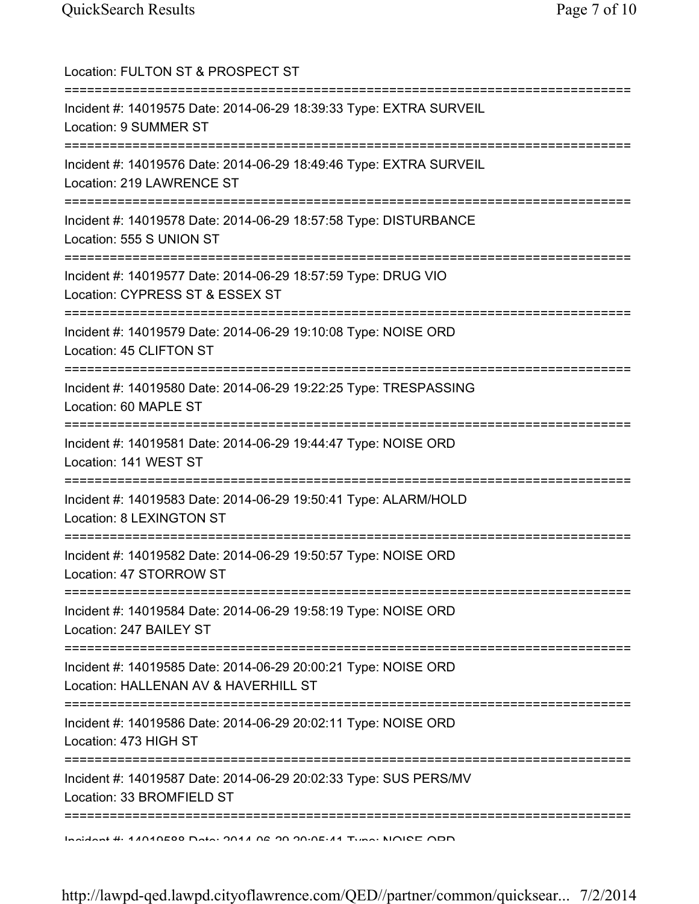| Location: FULTON ST & PROSPECT ST                                                                                  |
|--------------------------------------------------------------------------------------------------------------------|
| Incident #: 14019575 Date: 2014-06-29 18:39:33 Type: EXTRA SURVEIL<br>Location: 9 SUMMER ST                        |
| Incident #: 14019576 Date: 2014-06-29 18:49:46 Type: EXTRA SURVEIL<br>Location: 219 LAWRENCE ST                    |
| Incident #: 14019578 Date: 2014-06-29 18:57:58 Type: DISTURBANCE<br>Location: 555 S UNION ST                       |
| Incident #: 14019577 Date: 2014-06-29 18:57:59 Type: DRUG VIO<br>Location: CYPRESS ST & ESSEX ST                   |
| Incident #: 14019579 Date: 2014-06-29 19:10:08 Type: NOISE ORD<br>Location: 45 CLIFTON ST                          |
| Incident #: 14019580 Date: 2014-06-29 19:22:25 Type: TRESPASSING<br>Location: 60 MAPLE ST                          |
| =======================<br>Incident #: 14019581 Date: 2014-06-29 19:44:47 Type: NOISE ORD<br>Location: 141 WEST ST |
| Incident #: 14019583 Date: 2014-06-29 19:50:41 Type: ALARM/HOLD<br>Location: 8 LEXINGTON ST                        |
| Incident #: 14019582 Date: 2014-06-29 19:50:57 Type: NOISE ORD<br>Location: 47 STORROW ST                          |
| Incident #: 14019584 Date: 2014-06-29 19:58:19 Type: NOISE ORD<br>Location: 247 BAILEY ST                          |
| Incident #: 14019585 Date: 2014-06-29 20:00:21 Type: NOISE ORD<br>Location: HALLENAN AV & HAVERHILL ST             |
| Incident #: 14019586 Date: 2014-06-29 20:02:11 Type: NOISE ORD<br>Location: 473 HIGH ST                            |
| Incident #: 14019587 Date: 2014-06-29 20:02:33 Type: SUS PERS/MV<br>Location: 33 BROMFIELD ST                      |
| Indidnat #: 11010500 Data: 2011 06 20 20:05:11 Tung: NOICE ODD                                                     |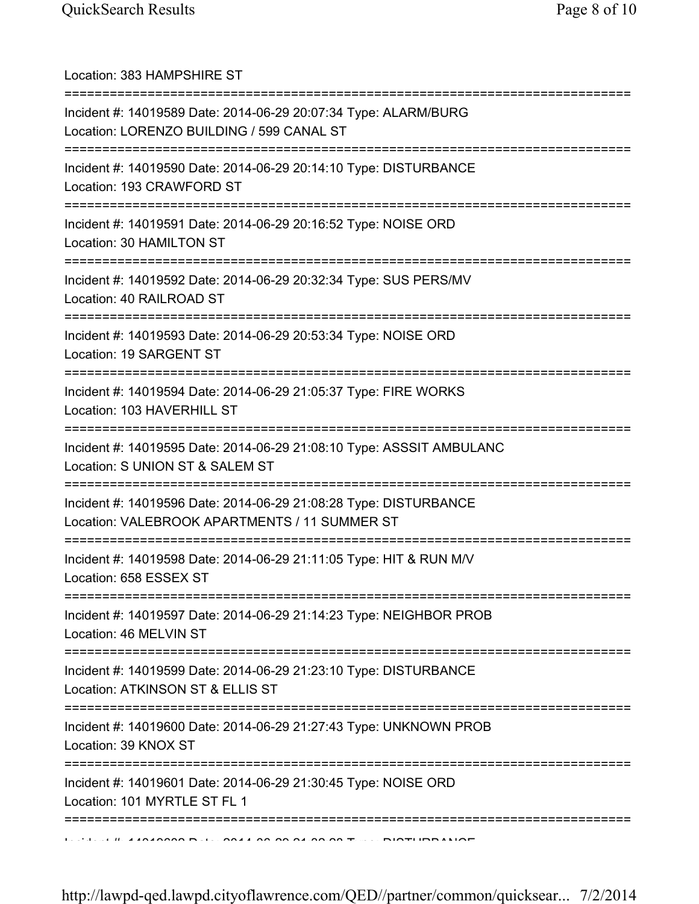| Location: 383 HAMPSHIRE ST                                                                                                     |
|--------------------------------------------------------------------------------------------------------------------------------|
| Incident #: 14019589 Date: 2014-06-29 20:07:34 Type: ALARM/BURG<br>Location: LORENZO BUILDING / 599 CANAL ST                   |
| Incident #: 14019590 Date: 2014-06-29 20:14:10 Type: DISTURBANCE<br>Location: 193 CRAWFORD ST                                  |
| Incident #: 14019591 Date: 2014-06-29 20:16:52 Type: NOISE ORD<br>Location: 30 HAMILTON ST<br>=================                |
| Incident #: 14019592 Date: 2014-06-29 20:32:34 Type: SUS PERS/MV<br>Location: 40 RAILROAD ST                                   |
| Incident #: 14019593 Date: 2014-06-29 20:53:34 Type: NOISE ORD<br>Location: 19 SARGENT ST                                      |
| Incident #: 14019594 Date: 2014-06-29 21:05:37 Type: FIRE WORKS<br>Location: 103 HAVERHILL ST                                  |
| Incident #: 14019595 Date: 2014-06-29 21:08:10 Type: ASSSIT AMBULANC<br>Location: S UNION ST & SALEM ST                        |
| Incident #: 14019596 Date: 2014-06-29 21:08:28 Type: DISTURBANCE<br>Location: VALEBROOK APARTMENTS / 11 SUMMER ST              |
| Incident #: 14019598 Date: 2014-06-29 21:11:05 Type: HIT & RUN M/V<br>Location: 658 ESSEX ST                                   |
| Incident #: 14019597 Date: 2014-06-29 21:14:23 Type: NEIGHBOR PROB<br>Location: 46 MELVIN ST                                   |
| ======================<br>Incident #: 14019599 Date: 2014-06-29 21:23:10 Type: DISTURBANCE<br>Location: ATKINSON ST & ELLIS ST |
| ,,,,,,,,,,,,,,,,,,<br>Incident #: 14019600 Date: 2014-06-29 21:27:43 Type: UNKNOWN PROB<br>Location: 39 KNOX ST                |
| Incident #: 14019601 Date: 2014-06-29 21:30:45 Type: NOISE ORD<br>Location: 101 MYRTLE ST FL 1                                 |
|                                                                                                                                |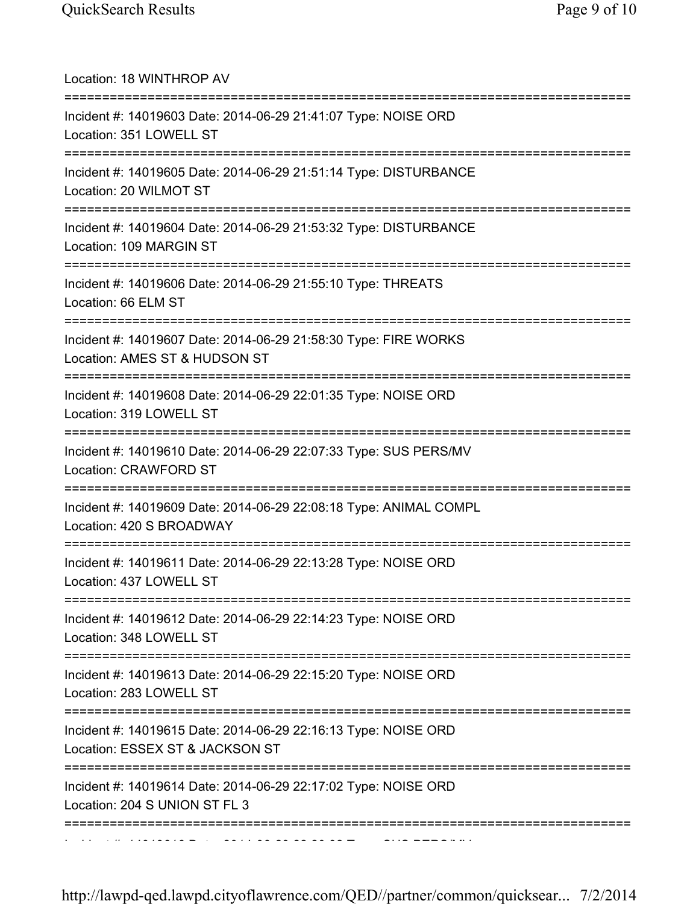| Location: 18 WINTHROP AV                                                                                                              |
|---------------------------------------------------------------------------------------------------------------------------------------|
| Incident #: 14019603 Date: 2014-06-29 21:41:07 Type: NOISE ORD<br>Location: 351 LOWELL ST                                             |
| Incident #: 14019605 Date: 2014-06-29 21:51:14 Type: DISTURBANCE<br>Location: 20 WILMOT ST                                            |
| Incident #: 14019604 Date: 2014-06-29 21:53:32 Type: DISTURBANCE<br>Location: 109 MARGIN ST                                           |
| Incident #: 14019606 Date: 2014-06-29 21:55:10 Type: THREATS<br>Location: 66 ELM ST                                                   |
| Incident #: 14019607 Date: 2014-06-29 21:58:30 Type: FIRE WORKS<br>Location: AMES ST & HUDSON ST                                      |
| Incident #: 14019608 Date: 2014-06-29 22:01:35 Type: NOISE ORD<br>Location: 319 LOWELL ST                                             |
| Incident #: 14019610 Date: 2014-06-29 22:07:33 Type: SUS PERS/MV<br>Location: CRAWFORD ST                                             |
| Incident #: 14019609 Date: 2014-06-29 22:08:18 Type: ANIMAL COMPL<br>Location: 420 S BROADWAY<br>------------------------------------ |
| Incident #: 14019611 Date: 2014-06-29 22:13:28 Type: NOISE ORD<br>Location: 437 LOWELL ST                                             |
| Incident #: 14019612 Date: 2014-06-29 22:14:23 Type: NOISE ORD<br>Location: 348 LOWELL ST                                             |
| Incident #: 14019613 Date: 2014-06-29 22:15:20 Type: NOISE ORD<br>Location: 283 LOWELL ST                                             |
| Incident #: 14019615 Date: 2014-06-29 22:16:13 Type: NOISE ORD<br>Location: ESSEX ST & JACKSON ST                                     |
| Incident #: 14019614 Date: 2014-06-29 22:17:02 Type: NOISE ORD<br>Location: 204 S UNION ST FL 3                                       |
|                                                                                                                                       |